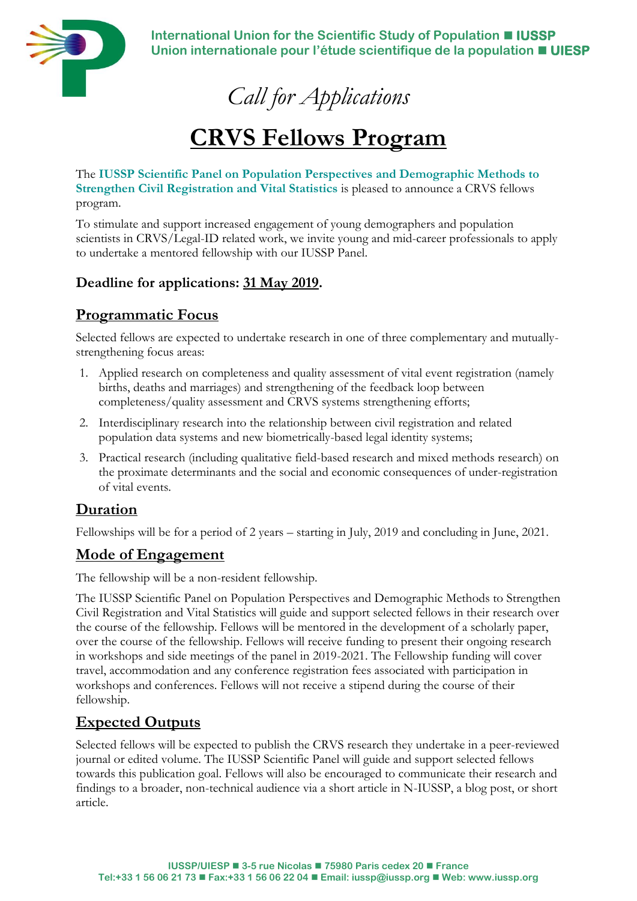

**International Union for the Scientific Study of Population** ◼ **IUSSP Union internationale pour l'étude scientifique de la population** ◼ **UIESP**

*Call for Applications*

# **CRVS Fellows Program**

The **[IUSSP Scientific Panel on Population Perspectives and Demographic Methods to](https://iussp.org/en/panel/population-perspectives-and-demographic-methods-strengthen-civil-registration-and-vital)  [Strengthen Civil Registration and Vital Statistics](https://iussp.org/en/panel/population-perspectives-and-demographic-methods-strengthen-civil-registration-and-vital)** is pleased to announce a CRVS fellows program.

To stimulate and support increased engagement of young demographers and population scientists in CRVS/Legal-ID related work, we invite young and mid-career professionals to apply to undertake a mentored fellowship with our IUSSP Panel.

### **Deadline for applications: 31 May 2019.**

## **Programmatic Focus**

Selected fellows are expected to undertake research in one of three complementary and mutuallystrengthening focus areas:

- 1. Applied research on completeness and quality assessment of vital event registration (namely births, deaths and marriages) and strengthening of the feedback loop between completeness/quality assessment and CRVS systems strengthening efforts;
- 2. Interdisciplinary research into the relationship between civil registration and related population data systems and new biometrically-based legal identity systems;
- 3. Practical research (including qualitative field-based research and mixed methods research) on the proximate determinants and the social and economic consequences of under-registration of vital events.

### **Duration**

Fellowships will be for a period of 2 years – starting in July, 2019 and concluding in June, 2021.

### **Mode of Engagement**

The fellowship will be a non-resident fellowship.

The IUSSP Scientific Panel on Population Perspectives and Demographic Methods to Strengthen Civil Registration and Vital Statistics will guide and support selected fellows in their research over the course of the fellowship. Fellows will be mentored in the development of a scholarly paper, over the course of the fellowship. Fellows will receive funding to present their ongoing research in workshops and side meetings of the panel in 2019-2021. The Fellowship funding will cover travel, accommodation and any conference registration fees associated with participation in workshops and conferences. Fellows will not receive a stipend during the course of their fellowship.

## **Expected Outputs**

Selected fellows will be expected to publish the CRVS research they undertake in a peer-reviewed journal or edited volume. The IUSSP Scientific Panel will guide and support selected fellows towards this publication goal. Fellows will also be encouraged to communicate their research and findings to a broader, non-technical audience via a short article in N-IUSSP, a blog post, or short article.